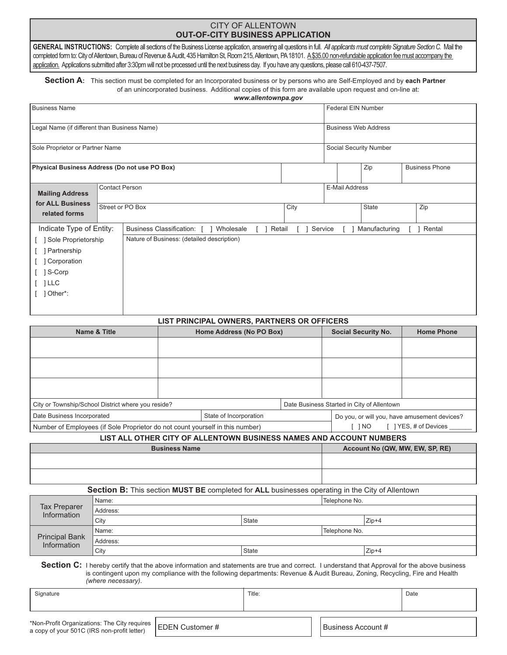## CITY OF ALLENTOWN **OUT-OF-CITY BUSINESS APPLICATION**

GENERAL INSTRUCTIONS: Complete all sections of the Business License application, answering all questions in full. All applicants must complete Signature Section C. Mail the completed form to: City of Allentown, Bureau of Revenue & Audit, 435 Hamilton St, Room 215, Allentown, PA 18101. A\$35.00 non-refundable application fee must accompany the application. Applications submitted after 3:30pm will not be processed until the next business day. If you have any questions, please call 610-437-7507.

**Section A:** This section must be completed for an Incorporated business or by persons who are Self-Employed and by **each Partner** of an unincorporated business. Additional copies of this form are available upon request and on-line at: *www.allentownpa.gov*

| <b>Business Name</b>                          |                                              |                                            |                                            | Federal EIN Number |                             |               |  |                       |  |
|-----------------------------------------------|----------------------------------------------|--------------------------------------------|--------------------------------------------|--------------------|-----------------------------|---------------|--|-----------------------|--|
| Legal Name (if different than Business Name)  |                                              |                                            |                                            |                    | <b>Business Web Address</b> |               |  |                       |  |
| Sole Proprietor or Partner Name               |                                              |                                            |                                            |                    | Social Security Number      |               |  |                       |  |
| Physical Business Address (Do not use PO Box) |                                              |                                            |                                            |                    |                             | Zip           |  | <b>Business Phone</b> |  |
| <b>Mailing Address</b>                        | <b>Contact Person</b>                        |                                            |                                            | E-Mail Address     |                             |               |  |                       |  |
| related forms                                 | for ALL Business<br>Street or PO Box<br>City |                                            |                                            |                    |                             | State         |  | Zip                   |  |
| Indicate Type of Entity:                      |                                              | Business Classification: [ ] Wholesale     | Retail<br>$\begin{array}{ccc} \end{array}$ | Service            |                             | Manufacturing |  | Rental                |  |
| Sole Proprietorship                           |                                              | Nature of Business: (detailed description) |                                            |                    |                             |               |  |                       |  |
| Partnership                                   |                                              |                                            |                                            |                    |                             |               |  |                       |  |
| Corporation                                   |                                              |                                            |                                            |                    |                             |               |  |                       |  |
| S-Corp                                        |                                              |                                            |                                            |                    |                             |               |  |                       |  |
| $\lceil$ $ $ LLC                              |                                              |                                            |                                            |                    |                             |               |  |                       |  |
| $\lceil$ ] Other*:                            |                                              |                                            |                                            |                    |                             |               |  |                       |  |

## **LIST PRINCIPAL OWNERS, PARTNERS OR OFFICERS**

| Name & Title                                                                  | Home Address (No PO Box) |                                                                     |  |                                              | <b>Social Security No.</b> | <b>Home Phone</b>     |  |
|-------------------------------------------------------------------------------|--------------------------|---------------------------------------------------------------------|--|----------------------------------------------|----------------------------|-----------------------|--|
|                                                                               |                          |                                                                     |  |                                              |                            |                       |  |
|                                                                               |                          |                                                                     |  |                                              |                            |                       |  |
|                                                                               |                          |                                                                     |  |                                              |                            |                       |  |
|                                                                               |                          |                                                                     |  |                                              |                            |                       |  |
|                                                                               |                          |                                                                     |  |                                              |                            |                       |  |
|                                                                               |                          |                                                                     |  |                                              |                            |                       |  |
| City or Township/School District where you reside?                            |                          |                                                                     |  | Date Business Started in City of Allentown   |                            |                       |  |
| State of Incorporation<br>Date Business Incorporated                          |                          |                                                                     |  | Do you, or will you, have amusement devices? |                            |                       |  |
| Number of Employees (if Sole Proprietor do not count yourself in this number) |                          |                                                                     |  |                                              | i ino                      | [ ] YES, # of Devices |  |
|                                                                               |                          | LIST ALL OTHER CITY OF ALLENTOWN BUSINESS NAMES AND ACCOUNT NUMBERS |  |                                              |                            |                       |  |
| <b>Business Name</b>                                                          |                          |                                                                     |  | Account No (QW, MW, EW, SP, RE)              |                            |                       |  |
|                                                                               |                          |                                                                     |  |                                              |                            |                       |  |
|                                                                               |                          |                                                                     |  |                                              |                            |                       |  |

**Section B:** This section **MUST BE** completed for **ALL** businesses operating in the City of Allentown

| Tax Preparer<br>Information   | Name:    | Telephone No. |  |         |  |  |  |
|-------------------------------|----------|---------------|--|---------|--|--|--|
|                               | Address: |               |  |         |  |  |  |
|                               | City     | <b>State</b>  |  | $Zip+4$ |  |  |  |
| Principal Bank<br>Information | Name:    | Telephone No. |  |         |  |  |  |
|                               | Address: |               |  |         |  |  |  |
|                               | City     | <b>State</b>  |  | $Zip+4$ |  |  |  |

**Section C:** I hereby certify that the above information and statements are true and correct. I understand that Approval for the above business is contingent upon my compliance with the following departments: Revenue & Audit Bureau, Zoning, Recycling, Fire and Health *(where necessary)*.

| Signature                                                                                                    | Title: |  |  | Date               |  |
|--------------------------------------------------------------------------------------------------------------|--------|--|--|--------------------|--|
| Non-Profit Organizations: The City requires   EDEN Customer #<br>a copy of your 501C (IRS non-profit letter) |        |  |  | Business Account # |  |